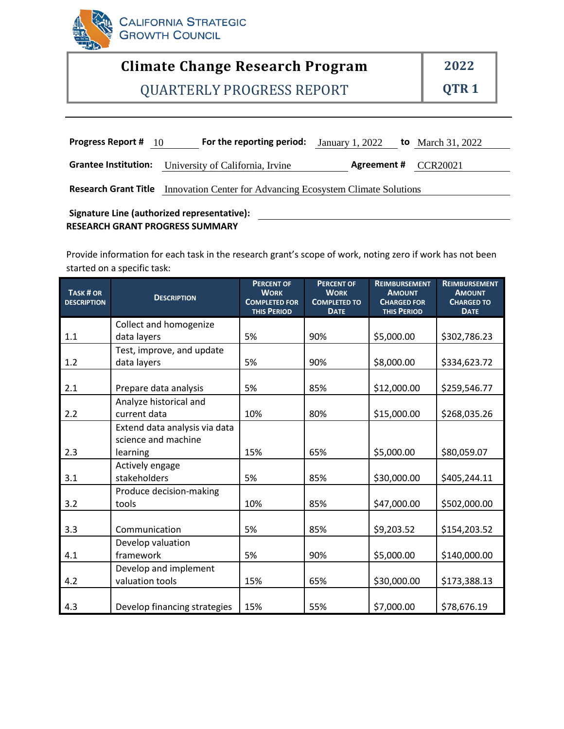

# **Climate Change Research Program 2022**

QUARTERLY PROGRESS REPORT **QTR 1**

| <b>Progress Report # 10</b> | <b>For the reporting period:</b> January 1, 2022            |                      | <b>to</b> March 31, 2022 |
|-----------------------------|-------------------------------------------------------------|----------------------|--------------------------|
| <b>Grantee Institution:</b> | University of California, Irvine                            | Agreement # CCR20021 |                          |
| <b>Research Grant Title</b> | Innovation Center for Advancing Ecosystem Climate Solutions |                      |                          |

#### **RESEARCH GRANT PROGRESS SUMMARY Signature Line (authorized representative):**

Provide information for each task in the research grant's scope of work, noting zero if work has not been started on a specific task:

| TASK # OR<br><b>DESCRIPTION</b> | <b>DESCRIPTION</b>            | <b>PERCENT OF</b><br><b>WORK</b><br><b>COMPLETED FOR</b><br><b>THIS PERIOD</b> | <b>PERCENT OF</b><br><b>WORK</b><br><b>COMPLETED TO</b><br><b>DATE</b> | <b>REIMBURSEMENT</b><br><b>AMOUNT</b><br><b>CHARGED FOR</b><br><b>THIS PERIOD</b> | <b>REIMBURSEMENT</b><br><b>AMOUNT</b><br><b>CHARGED TO</b><br><b>DATE</b> |
|---------------------------------|-------------------------------|--------------------------------------------------------------------------------|------------------------------------------------------------------------|-----------------------------------------------------------------------------------|---------------------------------------------------------------------------|
|                                 | Collect and homogenize        |                                                                                |                                                                        |                                                                                   |                                                                           |
| 1.1                             | data layers                   | 5%                                                                             | 90%                                                                    | \$5,000.00                                                                        | \$302,786.23                                                              |
|                                 | Test, improve, and update     |                                                                                |                                                                        |                                                                                   |                                                                           |
| 1.2                             | data layers                   | 5%                                                                             | 90%                                                                    | \$8,000.00                                                                        | \$334,623.72                                                              |
|                                 |                               |                                                                                |                                                                        |                                                                                   |                                                                           |
| 2.1                             | Prepare data analysis         | 5%                                                                             | 85%                                                                    | \$12,000.00                                                                       | \$259,546.77                                                              |
|                                 | Analyze historical and        |                                                                                |                                                                        |                                                                                   |                                                                           |
| 2.2                             | current data                  | 10%                                                                            | 80%                                                                    | \$15,000.00                                                                       | \$268,035.26                                                              |
|                                 | Extend data analysis via data |                                                                                |                                                                        |                                                                                   |                                                                           |
|                                 | science and machine           |                                                                                |                                                                        |                                                                                   |                                                                           |
| 2.3                             | learning                      | 15%                                                                            | 65%                                                                    | \$5,000.00                                                                        | \$80,059.07                                                               |
|                                 | Actively engage               |                                                                                |                                                                        |                                                                                   |                                                                           |
| 3.1                             | stakeholders                  | 5%                                                                             | 85%                                                                    | \$30,000.00                                                                       | \$405,244.11                                                              |
|                                 | Produce decision-making       |                                                                                |                                                                        |                                                                                   |                                                                           |
| 3.2                             | tools                         | 10%                                                                            | 85%                                                                    | \$47,000.00                                                                       | \$502,000.00                                                              |
|                                 |                               |                                                                                |                                                                        |                                                                                   |                                                                           |
| 3.3                             | Communication                 | 5%                                                                             | 85%                                                                    | \$9,203.52                                                                        | \$154,203.52                                                              |
|                                 | Develop valuation             |                                                                                |                                                                        |                                                                                   |                                                                           |
| 4.1                             | framework                     | 5%                                                                             | 90%                                                                    | \$5,000.00                                                                        | \$140,000.00                                                              |
|                                 | Develop and implement         |                                                                                |                                                                        |                                                                                   |                                                                           |
| 4.2                             | valuation tools               | 15%                                                                            | 65%                                                                    | \$30,000.00                                                                       | \$173,388.13                                                              |
|                                 |                               |                                                                                |                                                                        |                                                                                   |                                                                           |
| 4.3                             | Develop financing strategies  | 15%                                                                            | 55%                                                                    | \$7,000.00                                                                        | \$78,676.19                                                               |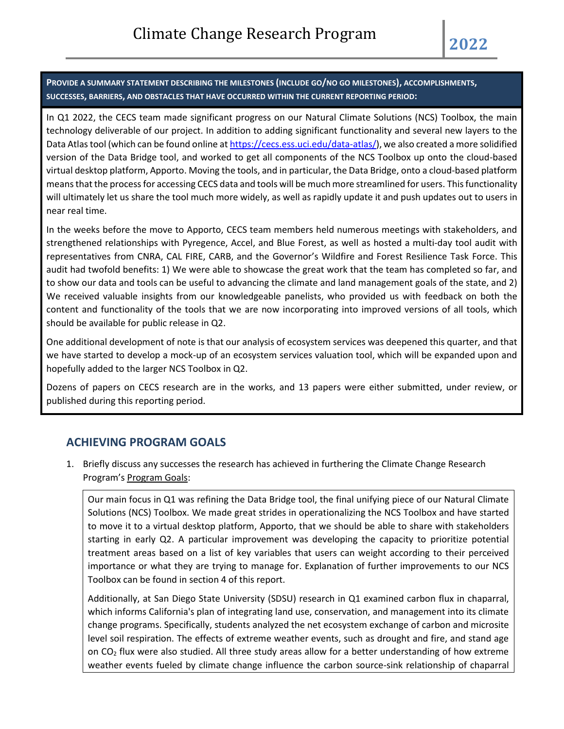**PROVIDE A SUMMARY STATEMENT DESCRIBING THE MILESTONES (INCLUDE GO/NO GO MILESTONES), ACCOMPLISHMENTS, SUCCESSES, BARRIERS, AND OBSTACLES THAT HAVE OCCURRED WITHIN THE CURRENT REPORTING PERIOD:**

In Q1 2022, the CECS team made significant progress on our Natural Climate Solutions (NCS) Toolbox, the main technology deliverable of our project. In addition to adding significant functionality and several new layers to the Data Atlas tool (which can be found online a[t https://cecs.ess.uci.edu/data-atlas/\)](https://cecs.ess.uci.edu/data-atlas/), we also created a more solidified version of the Data Bridge tool, and worked to get all components of the NCS Toolbox up onto the cloud-based virtual desktop platform, Apporto. Moving the tools, and in particular, the Data Bridge, onto a cloud-based platform means that the process for accessing CECS data and tools will be much more streamlined for users. This functionality will ultimately let us share the tool much more widely, as well as rapidly update it and push updates out to users in near real time.

In the weeks before the move to Apporto, CECS team members held numerous meetings with stakeholders, and strengthened relationships with Pyregence, Accel, and Blue Forest, as well as hosted a multi-day tool audit with representatives from CNRA, CAL FIRE, CARB, and the Governor's Wildfire and Forest Resilience Task Force. This audit had twofold benefits: 1) We were able to showcase the great work that the team has completed so far, and to show our data and tools can be useful to advancing the climate and land management goals of the state, and 2) We received valuable insights from our knowledgeable panelists, who provided us with feedback on both the content and functionality of the tools that we are now incorporating into improved versions of all tools, which should be available for public release in Q2.

One additional development of note is that our analysis of ecosystem services was deepened this quarter, and that we have started to develop a mock-up of an ecosystem services valuation tool, which will be expanded upon and hopefully added to the larger NCS Toolbox in Q2.

Dozens of papers on CECS research are in the works, and 13 papers were either submitted, under review, or published during this reporting period.

## **ACHIEVING PROGRAM GOALS**

1. Briefly discuss any successes the research has achieved in furthering the Climate Change Research Program's Program Goals:

Our main focus in Q1 was refining the Data Bridge tool, the final unifying piece of our Natural Climate Solutions (NCS) Toolbox. We made great strides in operationalizing the NCS Toolbox and have started to move it to a virtual desktop platform, Apporto, that we should be able to share with stakeholders starting in early Q2. A particular improvement was developing the capacity to prioritize potential treatment areas based on a list of key variables that users can weight according to their perceived importance or what they are trying to manage for. Explanation of further improvements to our NCS Toolbox can be found in section 4 of this report.

Additionally, at San Diego State University (SDSU) research in Q1 examined carbon flux in chaparral, which informs California's plan of integrating land use, conservation, and management into its climate change programs. Specifically, students analyzed the net ecosystem exchange of carbon and microsite level soil respiration. The effects of extreme weather events, such as drought and fire, and stand age on CO<sup>2</sup> flux were also studied. All three study areas allow for a better understanding of how extreme weather events fueled by climate change influence the carbon source-sink relationship of chaparral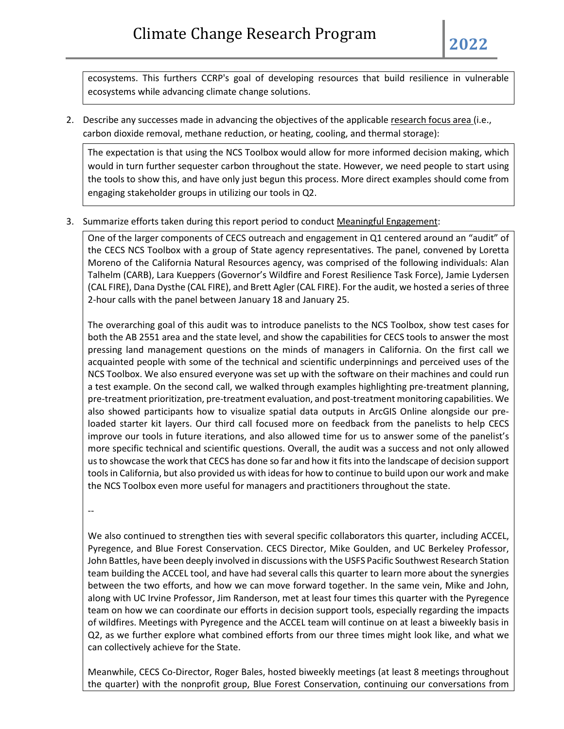ecosystems. This furthers CCRP's goal of developing resources that build resilience in vulnerable ecosystems while advancing climate change solutions.

2. Describe any successes made in advancing the objectives of the applicable research focus area (i.e., carbon dioxide removal, methane reduction, or heating, cooling, and thermal storage):

The expectation is that using the NCS Toolbox would allow for more informed decision making, which would in turn further sequester carbon throughout the state. However, we need people to start using the tools to show this, and have only just begun this process. More direct examples should come from engaging stakeholder groups in utilizing our tools in Q2.

3. Summarize efforts taken during this report period to conduct Meaningful Engagement:

One of the larger components of CECS outreach and engagement in Q1 centered around an "audit" of the CECS NCS Toolbox with a group of State agency representatives. The panel, convened by Loretta Moreno of the California Natural Resources agency, was comprised of the following individuals: Alan Talhelm (CARB), Lara Kueppers (Governor's Wildfire and Forest Resilience Task Force), Jamie Lydersen (CAL FIRE), Dana Dysthe (CAL FIRE), and Brett Agler (CAL FIRE). For the audit, we hosted a series of three 2-hour calls with the panel between January 18 and January 25.

The overarching goal of this audit was to introduce panelists to the NCS Toolbox, show test cases for both the AB 2551 area and the state level, and show the capabilities for CECS tools to answer the most pressing land management questions on the minds of managers in California. On the first call we acquainted people with some of the technical and scientific underpinnings and perceived uses of the NCS Toolbox. We also ensured everyone was set up with the software on their machines and could run a test example. On the second call, we walked through examples highlighting pre-treatment planning, pre-treatment prioritization, pre-treatment evaluation, and post-treatment monitoring capabilities. We also showed participants how to visualize spatial data outputs in ArcGIS Online alongside our preloaded starter kit layers. Our third call focused more on feedback from the panelists to help CECS improve our tools in future iterations, and also allowed time for us to answer some of the panelist's more specific technical and scientific questions. Overall, the audit was a success and not only allowed us to showcase the work that CECS has done so far and how it fits into the landscape of decision support tools in California, but also provided us with ideas for how to continue to build upon our work and make the NCS Toolbox even more useful for managers and practitioners throughout the state.

--

We also continued to strengthen ties with several specific collaborators this quarter, including ACCEL, Pyregence, and Blue Forest Conservation. CECS Director, Mike Goulden, and UC Berkeley Professor, John Battles, have been deeply involved in discussions with the USFS Pacific Southwest Research Station team building the ACCEL tool, and have had several calls this quarter to learn more about the synergies between the two efforts, and how we can move forward together. In the same vein, Mike and John, along with UC Irvine Professor, Jim Randerson, met at least four times this quarter with the Pyregence team on how we can coordinate our efforts in decision support tools, especially regarding the impacts of wildfires. Meetings with Pyregence and the ACCEL team will continue on at least a biweekly basis in Q2, as we further explore what combined efforts from our three times might look like, and what we can collectively achieve for the State.

Meanwhile, CECS Co-Director, Roger Bales, hosted biweekly meetings (at least 8 meetings throughout the quarter) with the nonprofit group, Blue Forest Conservation, continuing our conversations from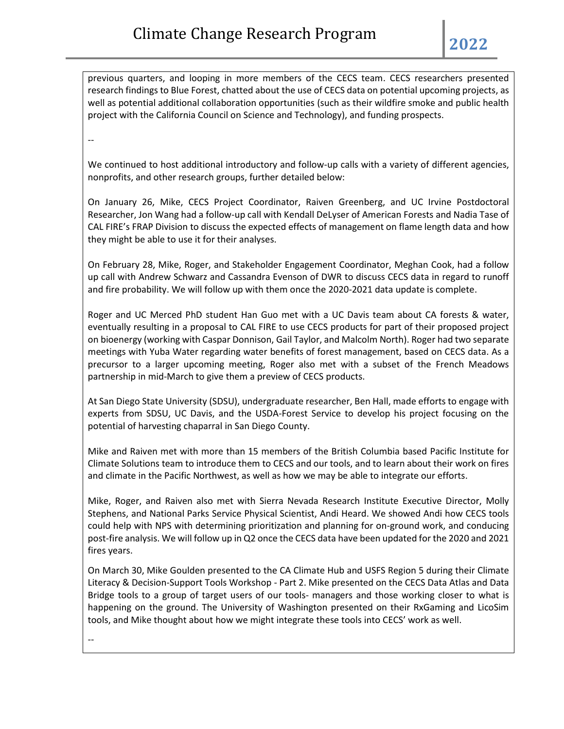previous quarters, and looping in more members of the CECS team. CECS researchers presented research findings to Blue Forest, chatted about the use of CECS data on potential upcoming projects, as well as potential additional collaboration opportunities (such as their wildfire smoke and public health project with the California Council on Science and Technology), and funding prospects.

--

We continued to host additional introductory and follow-up calls with a variety of different agencies, nonprofits, and other research groups, further detailed below:

On January 26, Mike, CECS Project Coordinator, Raiven Greenberg, and UC Irvine Postdoctoral Researcher, Jon Wang had a follow-up call with Kendall DeLyser of American Forests and Nadia Tase of CAL FIRE's FRAP Division to discuss the expected effects of management on flame length data and how they might be able to use it for their analyses.

On February 28, Mike, Roger, and Stakeholder Engagement Coordinator, Meghan Cook, had a follow up call with Andrew Schwarz and Cassandra Evenson of DWR to discuss CECS data in regard to runoff and fire probability. We will follow up with them once the 2020-2021 data update is complete.

Roger and UC Merced PhD student Han Guo met with a UC Davis team about CA forests & water, eventually resulting in a proposal to CAL FIRE to use CECS products for part of their proposed project on bioenergy (working with Caspar Donnison, Gail Taylor, and Malcolm North). Roger had two separate meetings with Yuba Water regarding water benefits of forest management, based on CECS data. As a precursor to a larger upcoming meeting, Roger also met with a subset of the French Meadows partnership in mid-March to give them a preview of CECS products.

At San Diego State University (SDSU), undergraduate researcher, Ben Hall, made efforts to engage with experts from SDSU, UC Davis, and the USDA-Forest Service to develop his project focusing on the potential of harvesting chaparral in San Diego County.

Mike and Raiven met with more than 15 members of the British Columbia based Pacific Institute for Climate Solutions team to introduce them to CECS and our tools, and to learn about their work on fires and climate in the Pacific Northwest, as well as how we may be able to integrate our efforts.

Mike, Roger, and Raiven also met with Sierra Nevada Research Institute Executive Director, Molly Stephens, and National Parks Service Physical Scientist, Andi Heard. We showed Andi how CECS tools could help with NPS with determining prioritization and planning for on-ground work, and conducing post-fire analysis. We will follow up in Q2 once the CECS data have been updated for the 2020 and 2021 fires years.

On March 30, Mike Goulden presented to the CA Climate Hub and USFS Region 5 during their Climate Literacy & Decision-Support Tools Workshop - Part 2. Mike presented on the CECS Data Atlas and Data Bridge tools to a group of target users of our tools- managers and those working closer to what is happening on the ground. The University of Washington presented on their RxGaming and LicoSim tools, and Mike thought about how we might integrate these tools into CECS' work as well.

--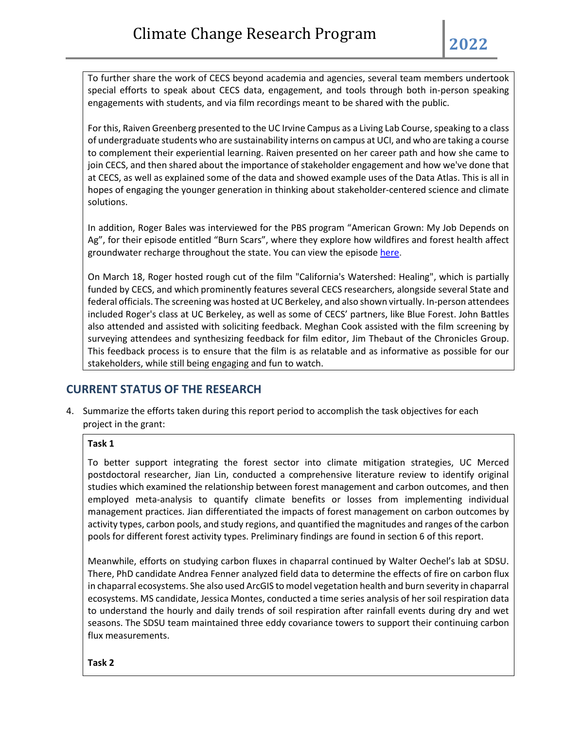To further share the work of CECS beyond academia and agencies, several team members undertook special efforts to speak about CECS data, engagement, and tools through both in-person speaking engagements with students, and via film recordings meant to be shared with the public.

For this, Raiven Greenberg presented to the UC Irvine Campus as a Living Lab Course, speaking to a class of undergraduate students who are sustainability interns on campus at UCI, and who are taking a course to complement their experiential learning. Raiven presented on her career path and how she came to join CECS, and then shared about the importance of stakeholder engagement and how we've done that at CECS, as well as explained some of the data and showed example uses of the Data Atlas. This is all in hopes of engaging the younger generation in thinking about stakeholder-centered science and climate solutions.

In addition, Roger Bales was interviewed for the PBS program "American Grown: My Job Depends on Ag", for their episode entitled "Burn Scars", where they explore how wildfires and forest health affect groundwater recharge throughout the state. You can view the episode [here.](https://www.pbs.org/video/american-grown-my-job-depends-on-ag-burn-scars-rtysex/)

On March 18, Roger hosted rough cut of the film "California's Watershed: Healing", which is partially funded by CECS, and which prominently features several CECS researchers, alongside several State and federal officials. The screening was hosted at UC Berkeley, and also shown virtually. In-person attendees included Roger's class at UC Berkeley, as well as some of CECS' partners, like Blue Forest. John Battles also attended and assisted with soliciting feedback. Meghan Cook assisted with the film screening by surveying attendees and synthesizing feedback for film editor, Jim Thebaut of the Chronicles Group. This feedback process is to ensure that the film is as relatable and as informative as possible for our stakeholders, while still being engaging and fun to watch.

# **CURRENT STATUS OF THE RESEARCH**

4. Summarize the efforts taken during this report period to accomplish the task objectives for each project in the grant:

#### **Task 1**

To better support integrating the forest sector into climate mitigation strategies, UC Merced postdoctoral researcher, Jian Lin, conducted a comprehensive literature review to identify original studies which examined the relationship between forest management and carbon outcomes, and then employed meta-analysis to quantify climate benefits or losses from implementing individual management practices. Jian differentiated the impacts of forest management on carbon outcomes by activity types, carbon pools, and study regions, and quantified the magnitudes and ranges of the carbon pools for different forest activity types. Preliminary findings are found in section 6 of this report.

Meanwhile, efforts on studying carbon fluxes in chaparral continued by Walter Oechel's lab at SDSU. There, PhD candidate Andrea Fenner analyzed field data to determine the effects of fire on carbon flux in chaparral ecosystems. She also used ArcGIS to model vegetation health and burn severity in chaparral ecosystems. MS candidate, Jessica Montes, conducted a time series analysis of her soil respiration data to understand the hourly and daily trends of soil respiration after rainfall events during dry and wet seasons. The SDSU team maintained three eddy covariance towers to support their continuing carbon flux measurements.

#### **Task 2**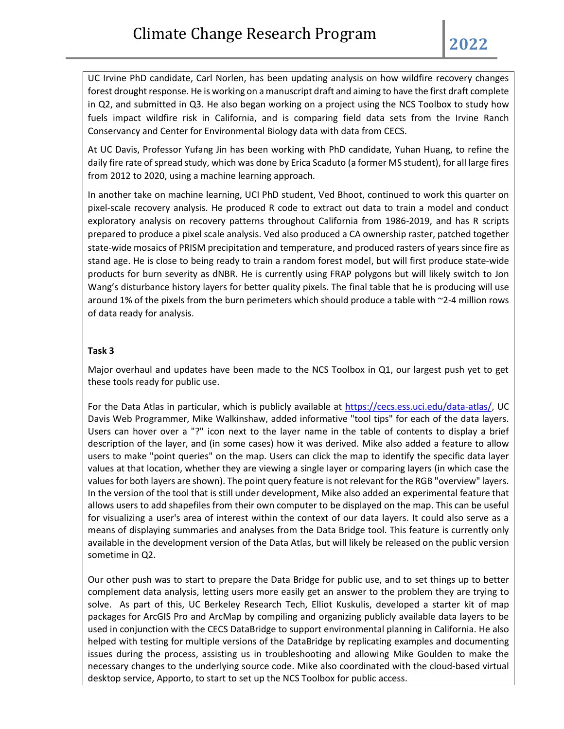UC Irvine PhD candidate, Carl Norlen, has been updating analysis on how wildfire recovery changes forest drought response. He is working on a manuscript draft and aiming to have the first draft complete in Q2, and submitted in Q3. He also began working on a project using the NCS Toolbox to study how fuels impact wildfire risk in California, and is comparing field data sets from the Irvine Ranch Conservancy and Center for Environmental Biology data with data from CECS.

At UC Davis, Professor Yufang Jin has been working with PhD candidate, Yuhan Huang, to refine the daily fire rate of spread study, which was done by Erica Scaduto (a former MS student), for all large fires from 2012 to 2020, using a machine learning approach.

In another take on machine learning, UCI PhD student, Ved Bhoot, continued to work this quarter on pixel-scale recovery analysis. He produced R code to extract out data to train a model and conduct exploratory analysis on recovery patterns throughout California from 1986-2019, and has R scripts prepared to produce a pixel scale analysis. Ved also produced a CA ownership raster, patched together state-wide mosaics of PRISM precipitation and temperature, and produced rasters of years since fire as stand age. He is close to being ready to train a random forest model, but will first produce state-wide products for burn severity as dNBR. He is currently using FRAP polygons but will likely switch to Jon Wang's disturbance history layers for better quality pixels. The final table that he is producing will use around 1% of the pixels from the burn perimeters which should produce a table with ~2-4 million rows of data ready for analysis.

#### **Task 3**

Major overhaul and updates have been made to the NCS Toolbox in Q1, our largest push yet to get these tools ready for public use.

For the Data Atlas in particular, which is publicly available at [https://cecs.ess.uci.edu/data-atlas/,](https://cecs.ess.uci.edu/data-atlas/) UC Davis Web Programmer, Mike Walkinshaw, added informative "tool tips" for each of the data layers. Users can hover over a "?" icon next to the layer name in the table of contents to display a brief description of the layer, and (in some cases) how it was derived. Mike also added a feature to allow users to make "point queries" on the map. Users can click the map to identify the specific data layer values at that location, whether they are viewing a single layer or comparing layers (in which case the values for both layers are shown). The point query feature is not relevant for the RGB "overview" layers. In the version of the tool that is still under development, Mike also added an experimental feature that allows users to add shapefiles from their own computer to be displayed on the map. This can be useful for visualizing a user's area of interest within the context of our data layers. It could also serve as a means of displaying summaries and analyses from the Data Bridge tool. This feature is currently only available in the development version of the Data Atlas, but will likely be released on the public version sometime in Q2.

Our other push was to start to prepare the Data Bridge for public use, and to set things up to better complement data analysis, letting users more easily get an answer to the problem they are trying to solve. As part of this, UC Berkeley Research Tech, Elliot Kuskulis, developed a starter kit of map packages for ArcGIS Pro and ArcMap by compiling and organizing publicly available data layers to be used in conjunction with the CECS DataBridge to support environmental planning in California. He also helped with testing for multiple versions of the DataBridge by replicating examples and documenting issues during the process, assisting us in troubleshooting and allowing Mike Goulden to make the necessary changes to the underlying source code. Mike also coordinated with the cloud-based virtual desktop service, Apporto, to start to set up the NCS Toolbox for public access.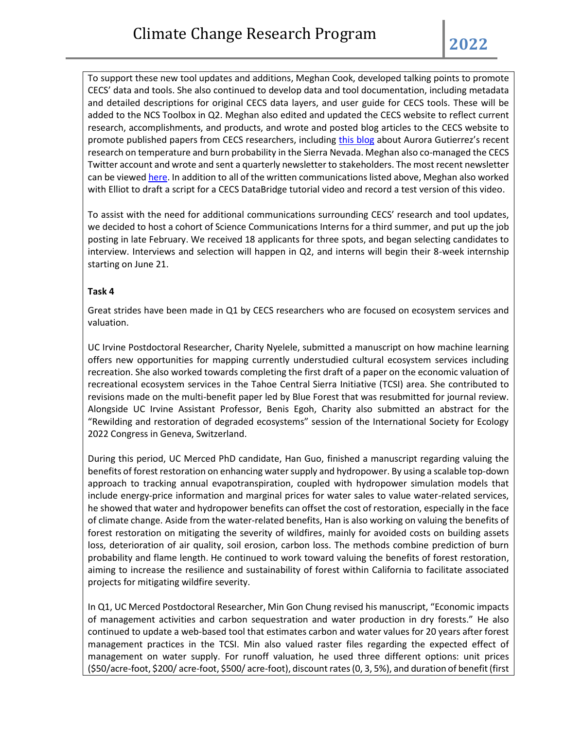To support these new tool updates and additions, Meghan Cook, developed talking points to promote CECS' data and tools. She also continued to develop data and tool documentation, including metadata and detailed descriptions for original CECS data layers, and user guide for CECS tools. These will be added to the NCS Toolbox in Q2. Meghan also edited and updated the CECS website to reflect current research, accomplishments, and products, and wrote and posted blog articles to the CECS website to promote published papers from CECS researchers, including [this blog](https://california-ecosystem-climate.solutions/hotter-summers-under-climate-change-lead-to-worsening-sierra-nevada-wildfires/) about Aurora Gutierrez's recent research on temperature and burn probability in the Sierra Nevada. Meghan also co-managed the CECS Twitter account and wrote and sent a quarterly newsletter to stakeholders. The most recent newsletter can be viewe[d here.](https://mailchi.mp/9277ec72c942/cecs-research-update-may-5712512) In addition to all of the written communications listed above, Meghan also worked with Elliot to draft a script for a CECS DataBridge tutorial video and record a test version of this video.

To assist with the need for additional communications surrounding CECS' research and tool updates, we decided to host a cohort of Science Communications Interns for a third summer, and put up the job posting in late February. We received 18 applicants for three spots, and began selecting candidates to interview. Interviews and selection will happen in Q2, and interns will begin their 8-week internship starting on June 21.

#### **Task 4**

Great strides have been made in Q1 by CECS researchers who are focused on ecosystem services and valuation.

UC Irvine Postdoctoral Researcher, Charity Nyelele, submitted a manuscript on how machine learning offers new opportunities for mapping currently understudied cultural ecosystem services including recreation. She also worked towards completing the first draft of a paper on the economic valuation of recreational ecosystem services in the Tahoe Central Sierra Initiative (TCSI) area. She contributed to revisions made on the multi-benefit paper led by Blue Forest that was resubmitted for journal review. Alongside UC Irvine Assistant Professor, Benis Egoh, Charity also submitted an abstract for the "Rewilding and restoration of degraded ecosystems" session of the International Society for Ecology 2022 Congress in Geneva, Switzerland.

During this period, UC Merced PhD candidate, Han Guo, finished a manuscript regarding valuing the benefits of forest restoration on enhancing water supply and hydropower. By using a scalable top-down approach to tracking annual evapotranspiration, coupled with hydropower simulation models that include energy-price information and marginal prices for water sales to value water-related services, he showed that water and hydropower benefits can offset the cost of restoration, especially in the face of climate change. Aside from the water-related benefits, Han is also working on valuing the benefits of forest restoration on mitigating the severity of wildfires, mainly for avoided costs on building assets loss, deterioration of air quality, soil erosion, carbon loss. The methods combine prediction of burn probability and flame length. He continued to work toward valuing the benefits of forest restoration, aiming to increase the resilience and sustainability of forest within California to facilitate associated projects for mitigating wildfire severity.

In Q1, UC Merced Postdoctoral Researcher, Min Gon Chung revised his manuscript, "Economic impacts of management activities and carbon sequestration and water production in dry forests." He also continued to update a web-based tool that estimates carbon and water values for 20 years after forest management practices in the TCSI. Min also valued raster files regarding the expected effect of management on water supply. For runoff valuation, he used three different options: unit prices (\$50/acre-foot, \$200/ acre-foot, \$500/ acre-foot), discount rates (0, 3, 5%), and duration of benefit (first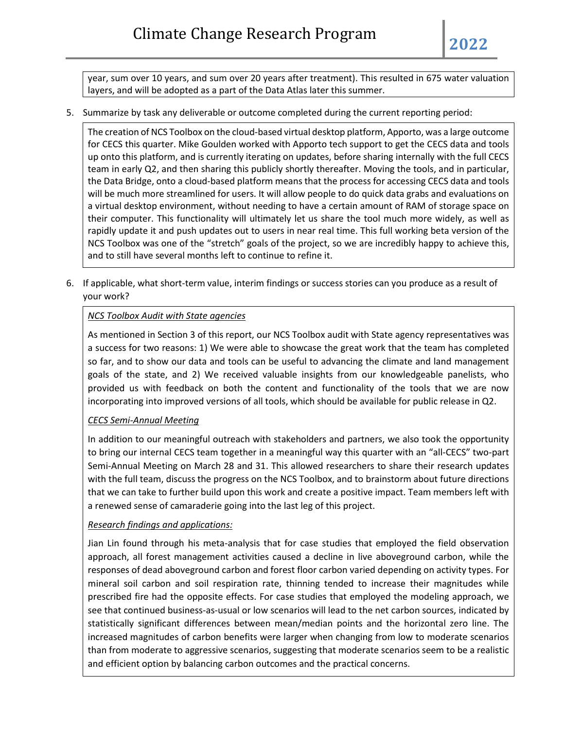year, sum over 10 years, and sum over 20 years after treatment). This resulted in 675 water valuation layers, and will be adopted as a part of the Data Atlas later this summer.

5. Summarize by task any deliverable or outcome completed during the current reporting period:

The creation of NCS Toolbox on the cloud-based virtual desktop platform, Apporto, was a large outcome for CECS this quarter. Mike Goulden worked with Apporto tech support to get the CECS data and tools up onto this platform, and is currently iterating on updates, before sharing internally with the full CECS team in early Q2, and then sharing this publicly shortly thereafter. Moving the tools, and in particular, the Data Bridge, onto a cloud-based platform means that the process for accessing CECS data and tools will be much more streamlined for users. It will allow people to do quick data grabs and evaluations on a virtual desktop environment, without needing to have a certain amount of RAM of storage space on their computer. This functionality will ultimately let us share the tool much more widely, as well as rapidly update it and push updates out to users in near real time. This full working beta version of the NCS Toolbox was one of the "stretch" goals of the project, so we are incredibly happy to achieve this, and to still have several months left to continue to refine it.

6. If applicable, what short-term value, interim findings or success stories can you produce as a result of your work?

### *NCS Toolbox Audit with State agencies*

As mentioned in Section 3 of this report, our NCS Toolbox audit with State agency representatives was a success for two reasons: 1) We were able to showcase the great work that the team has completed so far, and to show our data and tools can be useful to advancing the climate and land management goals of the state, and 2) We received valuable insights from our knowledgeable panelists, who provided us with feedback on both the content and functionality of the tools that we are now incorporating into improved versions of all tools, which should be available for public release in Q2.

## *CECS Semi-Annual Meeting*

In addition to our meaningful outreach with stakeholders and partners, we also took the opportunity to bring our internal CECS team together in a meaningful way this quarter with an "all-CECS" two-part Semi-Annual Meeting on March 28 and 31. This allowed researchers to share their research updates with the full team, discuss the progress on the NCS Toolbox, and to brainstorm about future directions that we can take to further build upon this work and create a positive impact. Team members left with a renewed sense of camaraderie going into the last leg of this project.

#### *Research findings and applications:*

Jian Lin found through his meta-analysis that for case studies that employed the field observation approach, all forest management activities caused a decline in live aboveground carbon, while the responses of dead aboveground carbon and forest floor carbon varied depending on activity types. For mineral soil carbon and soil respiration rate, thinning tended to increase their magnitudes while prescribed fire had the opposite effects. For case studies that employed the modeling approach, we see that continued business-as-usual or low scenarios will lead to the net carbon sources, indicated by statistically significant differences between mean/median points and the horizontal zero line. The increased magnitudes of carbon benefits were larger when changing from low to moderate scenarios than from moderate to aggressive scenarios, suggesting that moderate scenarios seem to be a realistic and efficient option by balancing carbon outcomes and the practical concerns.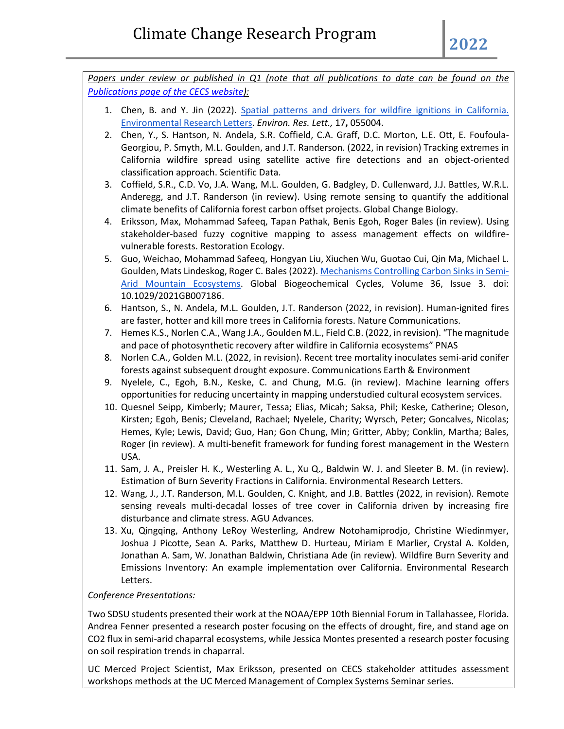*Papers under review or published in Q1 (note that all publications to date can be found on the [Publications page of the CECS website\)](https://california-ecosystem-climate.solutions/publications/):*

- 1. Chen, B. and Y. Jin (2022). [Spatial patterns and drivers for wildfire ignitions in California.](https://iopscience.iop.org/article/10.1088/1748-9326/ac60da)  [Environmental Research Letters.](https://iopscience.iop.org/article/10.1088/1748-9326/ac60da) *Environ. Res. Lett.,* 17**,** 055004.
- 2. Chen, Y., S. Hantson, N. Andela, S.R. Coffield, C.A. Graff, D.C. Morton, L.E. Ott, E. Foufoula-Georgiou, P. Smyth, M.L. Goulden, and J.T. Randerson. (2022, in revision) Tracking extremes in California wildfire spread using satellite active fire detections and an object-oriented classification approach. Scientific Data.
- 3. Coffield, S.R., C.D. Vo, J.A. Wang, M.L. Goulden, G. Badgley, D. Cullenward, J.J. Battles, W.R.L. Anderegg, and J.T. Randerson (in review). Using remote sensing to quantify the additional climate benefits of California forest carbon offset projects. Global Change Biology.
- 4. Eriksson, Max, Mohammad Safeeq, Tapan Pathak, Benis Egoh, Roger Bales (in review). Using stakeholder-based fuzzy cognitive mapping to assess management effects on wildfirevulnerable forests. Restoration Ecology.
- 5. Guo, Weichao, Mohammad Safeeq, Hongyan Liu, Xiuchen Wu, Guotao Cui, Qin Ma, Michael L. Goulden, Mats Lindeskog, Roger C. Bales (2022). [Mechanisms Controlling Carbon Sinks in Semi-](https://agupubs.onlinelibrary.wiley.com/doi/epdf/10.1029/2021GB007186)[Arid Mountain Ecosystems.](https://agupubs.onlinelibrary.wiley.com/doi/epdf/10.1029/2021GB007186) Global Biogeochemical Cycles, Volume 36, Issue 3. doi: 10.1029/2021GB007186.
- 6. Hantson, S., N. Andela, M.L. Goulden, J.T. Randerson (2022, in revision). Human-ignited fires are faster, hotter and kill more trees in California forests. Nature Communications.
- 7. Hemes K.S., Norlen C.A., Wang J.A., Goulden M.L., Field C.B. (2022, in revision). "The magnitude and pace of photosynthetic recovery after wildfire in California ecosystems" PNAS
- 8. Norlen C.A., Golden M.L. (2022, in revision). Recent tree mortality inoculates semi-arid conifer forests against subsequent drought exposure. Communications Earth & Environment
- 9. Nyelele, C., Egoh, B.N., Keske, C. and Chung, M.G. (in review). Machine learning offers opportunities for reducing uncertainty in mapping understudied cultural ecosystem services.
- 10. Quesnel Seipp, Kimberly; Maurer, Tessa; Elias, Micah; Saksa, Phil; Keske, Catherine; Oleson, Kirsten; Egoh, Benis; Cleveland, Rachael; Nyelele, Charity; Wyrsch, Peter; Goncalves, Nicolas; Hemes, Kyle; Lewis, David; Guo, Han; Gon Chung, Min; Gritter, Abby; Conklin, Martha; Bales, Roger (in review). A multi-benefit framework for funding forest management in the Western USA.
- 11. Sam, J. A., Preisler H. K., Westerling A. L., Xu Q., Baldwin W. J. and Sleeter B. M. (in review). Estimation of Burn Severity Fractions in California. Environmental Research Letters.
- 12. Wang, J., J.T. Randerson, M.L. Goulden, C. Knight, and J.B. Battles (2022, in revision). Remote sensing reveals multi-decadal losses of tree cover in California driven by increasing fire disturbance and climate stress. AGU Advances.
- 13. Xu, Qingqing, Anthony LeRoy Westerling, Andrew Notohamiprodjo, Christine Wiedinmyer, Joshua J Picotte, Sean A. Parks, Matthew D. Hurteau, Miriam E Marlier, Crystal A. Kolden, Jonathan A. Sam, W. Jonathan Baldwin, Christiana Ade (in review). Wildfire Burn Severity and Emissions Inventory: An example implementation over California. Environmental Research Letters.

## *Conference Presentations:*

Two SDSU students presented their work at the NOAA/EPP 10th Biennial Forum in Tallahassee, Florida. Andrea Fenner presented a research poster focusing on the effects of drought, fire, and stand age on CO2 flux in semi-arid chaparral ecosystems, while Jessica Montes presented a research poster focusing on soil respiration trends in chaparral.

UC Merced Project Scientist, Max Eriksson, presented on CECS stakeholder attitudes assessment workshops methods at the UC Merced Management of Complex Systems Seminar series.